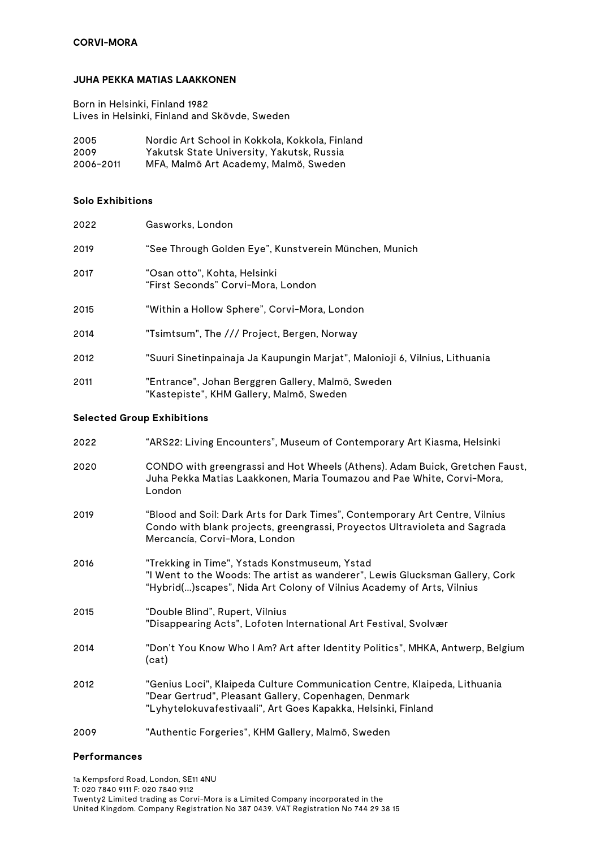## **CORVI-MORA**

### **JUHA PEKKA MATIAS LAAKKONEN**

Born in Helsinki, Finland 1982 Lives in Helsinki, Finland and Skövde, Sweden

| 2005      | Nordic Art School in Kokkola, Kokkola, Finland |
|-----------|------------------------------------------------|
| 2009      | Yakutsk State University, Yakutsk, Russia      |
| 2006-2011 | MFA, Malmö Art Academy, Malmö, Sweden          |

### **Solo Exhibitions**

| 2022                              | Gasworks, London                                                                              |  |
|-----------------------------------|-----------------------------------------------------------------------------------------------|--|
| 2019                              | "See Through Golden Eye", Kunstverein München, Munich                                         |  |
| 2017                              | "Osan otto", Kohta, Helsinki<br>"First Seconds" Corvi-Mora, London                            |  |
| 2015                              | "Within a Hollow Sphere", Corvi-Mora, London                                                  |  |
| 2014                              | "Tsimtsum", The /// Project, Bergen, Norway                                                   |  |
| 2012                              | "Suuri Sinetinpainaja Ja Kaupungin Marjat", Malonioji 6, Vilnius, Lithuania                   |  |
| 2011                              | "Entrance", Johan Berggren Gallery, Malmö, Sweden<br>"Kastepiste", KHM Gallery, Malmö, Sweden |  |
| <b>Selected Group Exhibitions</b> |                                                                                               |  |

# 2022 "ARS22: Living Encounters", Museum of Contemporary Art Kiasma, Helsinki 2020 CONDO with greengrassi and Hot Wheels (Athens). Adam Buick, Gretchen Faust, Juha Pekka Matias Laakkonen, Maria Toumazou and Pae White, Corvi-Mora, London 2019 "Blood and Soil: Dark Arts for Dark Times", Contemporary Art Centre, Vilnius Condo with blank projects, greengrassi, Proyectos Ultravioleta and Sagrada Mercancía, Corvi-Mora, London 2016 "Trekking in Time", Ystads Konstmuseum, Ystad "I Went to the Woods: The artist as wanderer", Lewis Glucksman Gallery, Cork "Hybrid(...)scapes", Nida Art Colony of Vilnius Academy of Arts, Vilnius 2015 "Double Blind", Rupert, Vilnius "Disappearing Acts", Lofoten International Art Festival, Svolvær 2014 "Don't You Know Who I Am? Art after Identity Politics", MHKA, Antwerp, Belgium (cat) 2012 "Genius Loci", Klaipeda Culture Communication Centre, Klaipeda, Lithuania "Dear Gertrud", Pleasant Gallery, Copenhagen, Denmark "Lyhytelokuvafestivaali", Art Goes Kapakka, Helsinki, Finland

2009 "Authentic Forgeries", KHM Gallery, Malmö, Sweden

### **Performances**